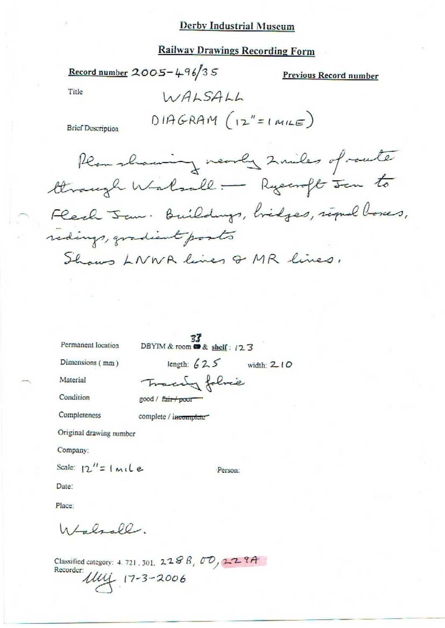## **Railway Drawings Recording Form**

Record number  $2005 - 496/35$ 

**Previous Record number** 

Title

**Brief Description** 

Plan showing nearly 2 miles of route through Walsall .- Ryearoft son to Flech Jan: Buildings, hidges, rignal boxes, redings, gradient posts Shows LNWR lines & MR lines.

Permanent location

DBYIM & room  $\otimes$  & shelf: (23)

Dimensions (mm)

length:  $625$  width:  $210$ 

Material

Tracity folice

Condition Completeness

complete / incomplete

good / fair / poor

Original drawing number

Company:

Scale: 
$$
12'' = 1
$$
 mile

Person:

Date:

Place:

 $142222$ 

Classified category: 4, 721, 301, 228 B,  $\sigma$ 0, 229A Recorder: 1144 17-3-2006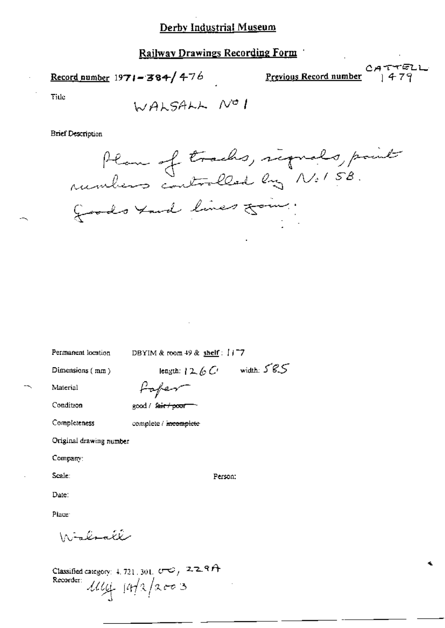Railway Drawings Recording Form

Record number  $1971 - 384 / 476$ 

CATTELL Previous Record number

Tide.

WALSALL NO 1

**Brief Description** 

Plan of tracks, reguals, point Goods tand lines form.

Permanent location

DBYIM & room 49 & shelf: 1177

Dimensions (mm)

length:  $12.6C$  width:  $585$ 

Person:

Condition

Material

good / fair + poor

complete / meomplete

Paper

Original drawing number

Company:

Completeness

Scale:

Date:

Place:

Wislonde

Classified category: 4, 721, 301,  $\sigma \infty_f$ , 2, 2, 2 ft Recorder:  $1114 + 1912$   $2003$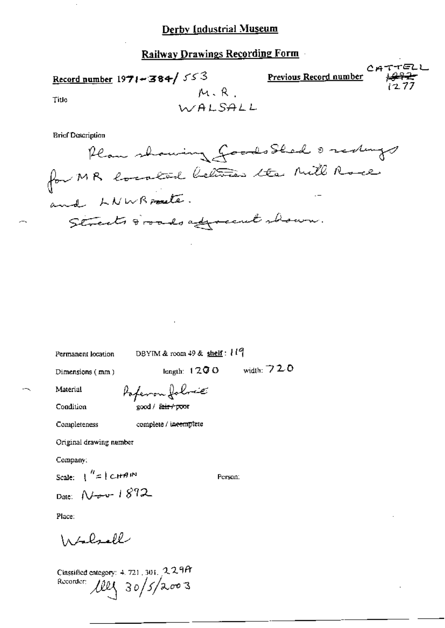# **Railway Drawings Recording Form**

 $CATTEL$ Record number  $1971 - 384 / 553$ Previous Record number M.R. Title WALSALL

**Brief Description** 

Permanent location

DBYIM & room 49 & shelf: 119

Dimensions (mm)

length:  $1200$  width:  $720$ 

Material

Poferon Johnie

good / fair / poor

Completeness

complete / incomplete

Original drawing number

Company:

Condition

Scale:  $\int_0^R \mathbb{E} \left[ C H^{\frac{1}{2}} \right]^{R}$ 

Date: Nov 1892

Person:

Place:

Walsoll

Classified entegory: 4, 721, 301, 229A leg 30/5/2003 Recorder: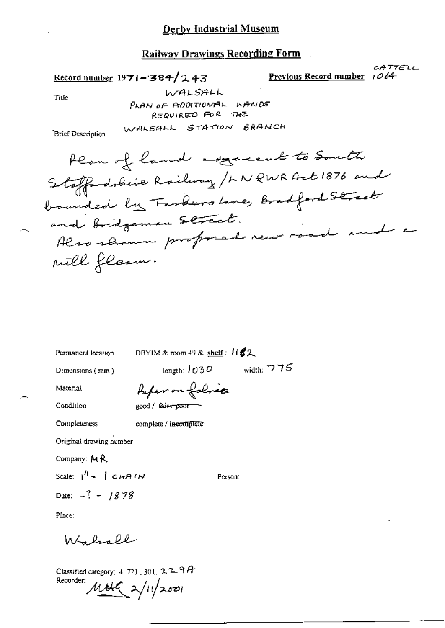#### **Railway Drawings Recording Form**

Record number 1971-384/243

CATTELL Previous Record number 1064

Title

WALSALL PLAN OF ADDITIONAL KANDS REQUIRED FOR THE WALSALL STATION BRANCH

**Brief Description** 

Plan of land agreeat to South Staffordshire Railway / LN QWR Act 1876 and bounded by Taskers Line, Bradford Street and bridgeman Street. Also rhamm proposed new road and a nill fleam.

Permanent location

DBYIM & room 49 & shelf:  $1182$ 

Dimensions (mm)

width:  $775$ length:  $1030$ 

Person:

Material

Paper on folice

complete / incomplete

Condition

Completeness

good / sair-pour

Original drawing number

Company: MR

Scale:  $1^{h}$  =  $1$  CHAIN

Date:  $-7 - 1878$ 

Place:

W. brall

Classified category: 4, 721, 301, 229A Recorder:  $MMA \sim 10/2001$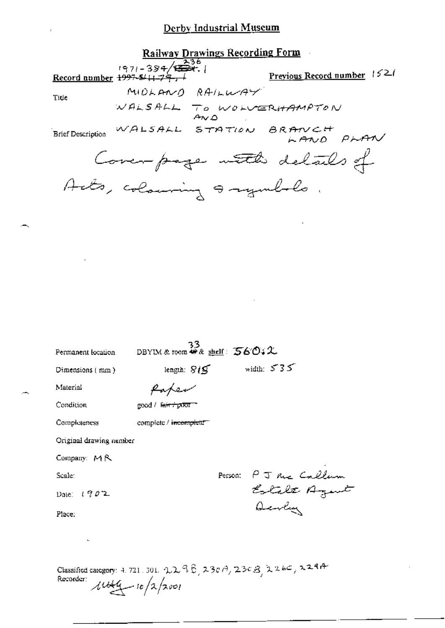| <b>Railway Drawings Recording Form</b> |  |  |
|----------------------------------------|--|--|
| $1971 - 384$                           |  |  |
|                                        |  |  |

| 171 – 3847 <del>1888</del> . l<br><del>97 – SI (179 , 1</del> |                 | Previous Record number 1521 |  |
|---------------------------------------------------------------|-----------------|-----------------------------|--|
|                                                               | MIDLANO RAILWAY |                             |  |

WALSALL TO WOLVERHAMPTON  $A \vee A$ 

.<br>Brief Description

Record number 199

WALSALL STATION BRANCH PLAN Coverpage with delails of Acts, colouring a symbols.

| Permanent location                                                                                              | DBYIM & room $\overset{33}{\bullet}$ & shell: $560.2$ |  |                      |  |  |
|-----------------------------------------------------------------------------------------------------------------|-------------------------------------------------------|--|----------------------|--|--|
| Dimensions (mm)                                                                                                 | length: $8/9$                                         |  | width: $535$         |  |  |
| Material                                                                                                        | fatem                                                 |  |                      |  |  |
| Condition                                                                                                       | good / <del>lair / pikit</del>                        |  |                      |  |  |
| Completeness                                                                                                    | complete / incomplete"                                |  |                      |  |  |
| Original drawing number                                                                                         |                                                       |  |                      |  |  |
| Company: $M$ $\mathcal{R}$                                                                                      |                                                       |  |                      |  |  |
| Scale:                                                                                                          |                                                       |  | Person: PJ ne Callum |  |  |
| Date: $(902)$                                                                                                   |                                                       |  |                      |  |  |
| Place:                                                                                                          |                                                       |  | Denly                |  |  |
| ۰.                                                                                                              |                                                       |  |                      |  |  |
| Classified category: 4.721.301. $0.2.96$ , $230.9$ , $230.3$ , $226$ , $224$<br>Recorder:<br>$1144 - 10/2/2001$ |                                                       |  |                      |  |  |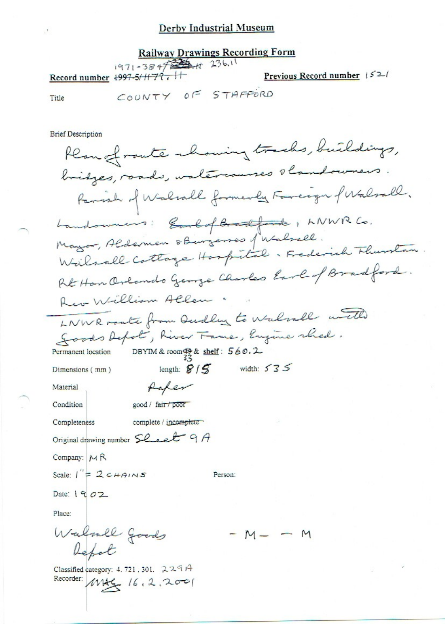**Railway Drawings Recording Form** 1971-384 23611 Previous Record number  $152/$ COUNTY OF STAFFORD Title

**Brief Description** 

Plan of route chairing tracks, buildings, bridges, roads, watercourses shandowners. Famish of Walrall formerly Fameign of Walrall. Landowners: Earlof Bradfords, LNWR Co. Mayor, Aldermen & Burgerses futulizel. Wilsall Cottage Haspital . Frederich Flurstan REHandreando George Charles Earl of Bradford. Rev-William Allen. LNWR route from Qualley to Walnell with Goods Depot, River Fame, Engine whed. DBYIM & room  $\frac{35}{32}$ & shelf: 560.2 Permanent location length:  $8/5$  width:  $535$ Dimensions (mm) faper Material Condition good / fair / poor Completeness complete / incomplete Original drawing number Sheet 9A Company:  $M R$ Scale:  $1'' = 2cHANSS$ Person: Date:  $902$ Place: Walnel Goods  $-M - - M$ Lefot Classified category: 4.721,301. ススイト Recorder: MAG 16, 2, 2001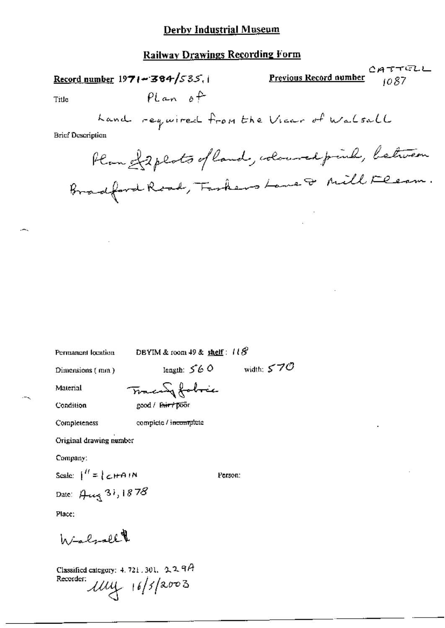## **Railway Drawings Recording Form**

CATTELL Record number  $1971 - 384/535$ , i Previous Record number  $1087$  $Plan \theta$ Title Land required from the Vicar of Walsall **Brief Description** Plan of 2 plots of land, idoured prink, between Bradford Road, Fashers Lane & Mill Fleam.

Person:

Permanent location

DBYIM & room 49 & shelf:  $118^\circ$ 

Dimensions (mm)

length:  $560$  width:  $570$ 

Material Condition Tracey fobres good / fair / poor

Completeness

complete / incomplete

Original drawing number

Company:

Scale:  $\int_{0}^{H} = \int_{0}^{L} \mathcal{L} H^{2} H N$ 

Date: Aug 31, 1878

Place:

Walnell

Classified category: 4, 721, 301,  $2.29A$ Recorder:  $1114 + 16/5/2003$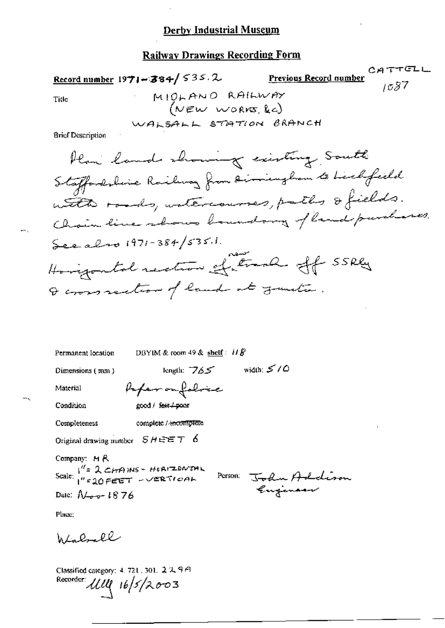#### **Railway Drawings Recording Form**

CATTELL Record number  $1971 - 384 / 535.2$ Previous Record number  $1087$ MIDLAND RAILWAY Title (NEW WORKS, &c) WALSALL STATION BRANCH **Brief Description** Plan land showing existing South Staffordsbeine Railway from Dimingham to Lied field with roads, untercourses, paths ofields.

Permanent location

DBYIM & room 49 & shelf:  $i18$ 

Dimensions (mm)

length:  $765$  width:  $5/0$ 

Material

Condition

Paper on folice

good / fair / poor

Completeness complete / incomplete

Original drawing number  $SHEET$  6

Company: MR Scale:  $1^{H} = 2$  CHAINS - HORIZONTAL<br>Scale:  $1^{H} = 20$ FEET - VERTICAL

Person John Addison Gujinar

Date:  $N_{\text{c}}$   $\sim$  1876

Place;

Winlandl

Classified category: 4, 721, 301, 2 2, 9 日 Recorder:  $\mathcal{UU}$  16/5/2003